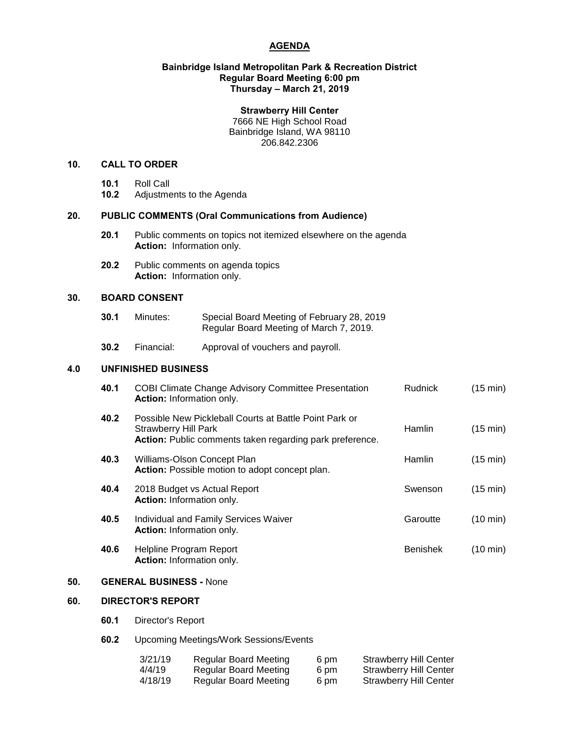# **AGENDA**

## **Bainbridge Island Metropolitan Park & Recreation District Regular Board Meeting 6:00 pm Thursday – March 21, 2019**

## **Strawberry Hill Center**

7666 NE High School Road Bainbridge Island, WA 98110 206.842.2306

# **10. CALL TO ORDER**

- **10.1** Roll Call
- **10.2** Adjustments to the Agenda

## **20. PUBLIC COMMENTS (Oral Communications from Audience)**

- **20.1** Public comments on topics not itemized elsewhere on the agenda **Action:** Information only.
- **20.2** Public comments on agenda topics **Action:** Information only.

# **30. BOARD CONSENT**

| 30.1 | Minutes: | Special Board Meeting of February 28, 2019 |  |
|------|----------|--------------------------------------------|--|
|      |          | Regular Board Meeting of March 7, 2019.    |  |

**30.2** Financial: Approval of vouchers and payroll.

# **4.0 UNFINISHED BUSINESS**

| 40.1 | <b>COBI Climate Change Advisory Committee Presentation</b><br><b>Action:</b> Information only.                                             | <b>Rudnick</b>  | $(15 \text{ min})$ |
|------|--------------------------------------------------------------------------------------------------------------------------------------------|-----------------|--------------------|
| 40.2 | Possible New Pickleball Courts at Battle Point Park or<br>Strawberry Hill Park<br>Action: Public comments taken regarding park preference. | Hamlin          | $(15 \text{ min})$ |
| 40.3 | Williams-Olson Concept Plan<br>Action: Possible motion to adopt concept plan.                                                              | Hamlin          | $(15 \text{ min})$ |
| 40.4 | 2018 Budget vs Actual Report<br><b>Action:</b> Information only.                                                                           | Swenson         | $(15 \text{ min})$ |
| 40.5 | Individual and Family Services Waiver<br><b>Action:</b> Information only.                                                                  | Garoutte        | $(10 \text{ min})$ |
| 40.6 | Helpline Program Report<br><b>Action:</b> Information only.                                                                                | <b>Benishek</b> | $(10 \text{ min})$ |

# **50. GENERAL BUSINESS -** None

#### **60. DIRECTOR'S REPORT**

- **60.1** Director's Report
- **60.2** Upcoming Meetings/Work Sessions/Events

| 3/21/19 | Regular Board Meeting | 6 pm | <b>Strawberry Hill Center</b> |
|---------|-----------------------|------|-------------------------------|
| 4/4/19  | Regular Board Meeting | 6 pm | <b>Strawberry Hill Center</b> |
| 4/18/19 | Regular Board Meeting | 6 pm | <b>Strawberry Hill Center</b> |